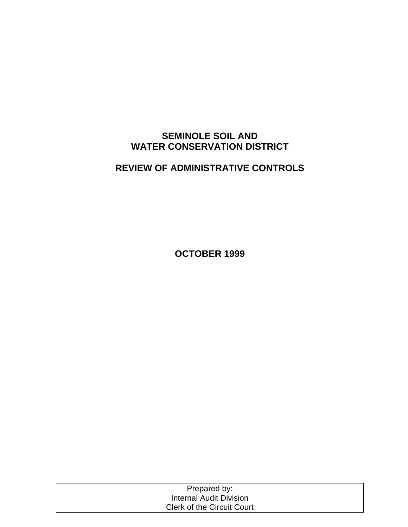## **SEMINOLE SOIL AND WATER CONSERVATION DISTRICT**

# **REVIEW OF ADMINISTRATIVE CONTROLS**

**OCTOBER 1999** 

| Prepared by:                      |  |
|-----------------------------------|--|
| Internal Audit Division           |  |
| <b>Clerk of the Circuit Court</b> |  |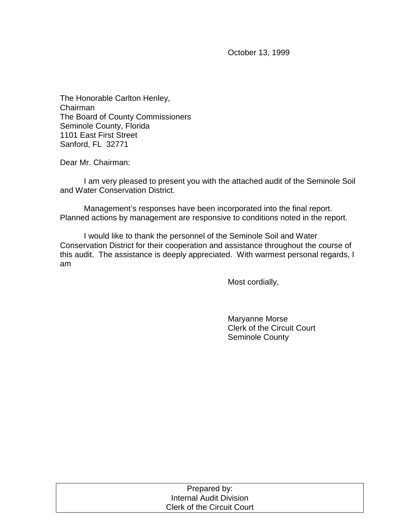October 13, 1999

The Honorable Carlton Henley, Chairman The Board of County Commissioners Seminole County, Florida 1101 East First Street Sanford, FL 32771

Dear Mr. Chairman:

 I am very pleased to present you with the attached audit of the Seminole Soil and Water Conservation District.

 Management's responses have been incorporated into the final report. Planned actions by management are responsive to conditions noted in the report.

 I would like to thank the personnel of the Seminole Soil and Water Conservation District for their cooperation and assistance throughout the course of this audit. The assistance is deeply appreciated. With warmest personal regards, I am

Most cordially,

 Maryanne Morse Clerk of the Circuit Court Seminole County

| Prepared by:                      |  |
|-----------------------------------|--|
| <b>Internal Audit Division</b>    |  |
| <b>Clerk of the Circuit Court</b> |  |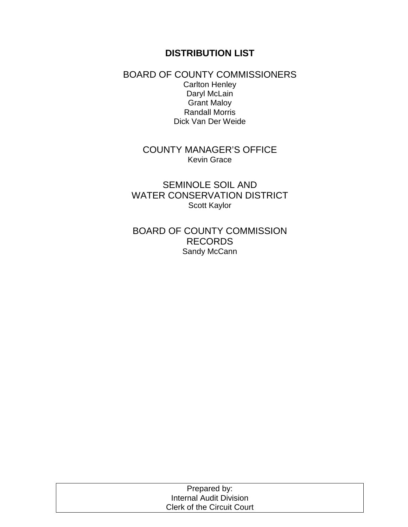## **DISTRIBUTION LIST**

BOARD OF COUNTY COMMISSIONERS Carlton Henley Daryl McLain Grant Maloy Randall Morris Dick Van Der Weide

## COUNTY MANAGER'S OFFICE Kevin Grace

SEMINOLE SOIL AND WATER CONSERVATION DISTRICT Scott Kaylor

BOARD OF COUNTY COMMISSION RECORDS Sandy McCann

| Prepared by:                      |  |
|-----------------------------------|--|
| Internal Audit Division           |  |
| <b>Clerk of the Circuit Court</b> |  |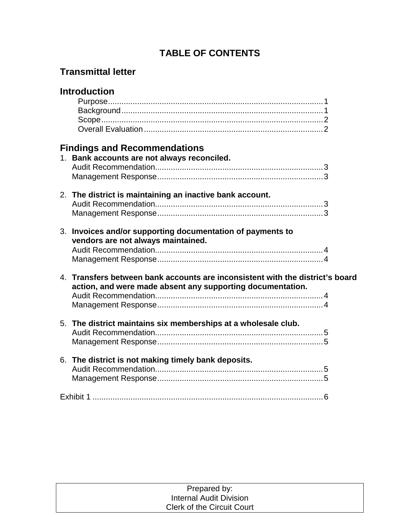# **TABLE OF CONTENTS**

# **Transmittal letter**

| <b>Introduction</b>                                                                                                                         |  |
|---------------------------------------------------------------------------------------------------------------------------------------------|--|
|                                                                                                                                             |  |
|                                                                                                                                             |  |
|                                                                                                                                             |  |
|                                                                                                                                             |  |
| <b>Findings and Recommendations</b>                                                                                                         |  |
| 1. Bank accounts are not always reconciled.                                                                                                 |  |
|                                                                                                                                             |  |
|                                                                                                                                             |  |
| 2. The district is maintaining an inactive bank account.                                                                                    |  |
|                                                                                                                                             |  |
|                                                                                                                                             |  |
| 3. Invoices and/or supporting documentation of payments to<br>vendors are not always maintained.                                            |  |
|                                                                                                                                             |  |
|                                                                                                                                             |  |
| 4. Transfers between bank accounts are inconsistent with the district's board<br>action, and were made absent any supporting documentation. |  |
|                                                                                                                                             |  |
|                                                                                                                                             |  |
| 5. The district maintains six memberships at a wholesale club.                                                                              |  |
|                                                                                                                                             |  |
|                                                                                                                                             |  |
| 6. The district is not making timely bank deposits.                                                                                         |  |
|                                                                                                                                             |  |
|                                                                                                                                             |  |
|                                                                                                                                             |  |

| Prepared by:                      |  |
|-----------------------------------|--|
| <b>Internal Audit Division</b>    |  |
| <b>Clerk of the Circuit Court</b> |  |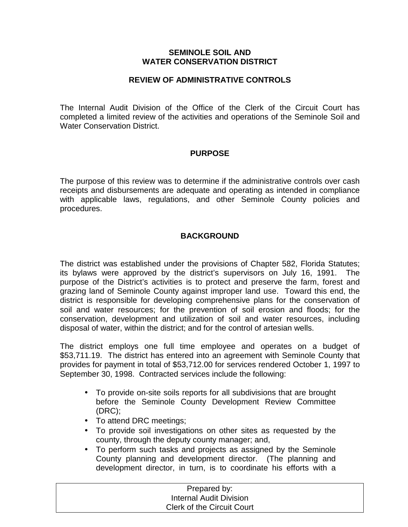### **SEMINOLE SOIL AND WATER CONSERVATION DISTRICT**

### **REVIEW OF ADMINISTRATIVE CONTROLS**

The Internal Audit Division of the Office of the Clerk of the Circuit Court has completed a limited review of the activities and operations of the Seminole Soil and Water Conservation District.

### **PURPOSE**

The purpose of this review was to determine if the administrative controls over cash receipts and disbursements are adequate and operating as intended in compliance with applicable laws, regulations, and other Seminole County policies and procedures.

### **BACKGROUND**

The district was established under the provisions of Chapter 582, Florida Statutes; its bylaws were approved by the district's supervisors on July 16, 1991. The purpose of the District's activities is to protect and preserve the farm, forest and grazing land of Seminole County against improper land use. Toward this end, the district is responsible for developing comprehensive plans for the conservation of soil and water resources; for the prevention of soil erosion and floods; for the conservation, development and utilization of soil and water resources, including disposal of water, within the district; and for the control of artesian wells.

The district employs one full time employee and operates on a budget of \$53,711.19. The district has entered into an agreement with Seminole County that provides for payment in total of \$53,712.00 for services rendered October 1, 1997 to September 30, 1998. Contracted services include the following:

- To provide on-site soils reports for all subdivisions that are brought before the Seminole County Development Review Committee (DRC);
- To attend DRC meetings;
- To provide soil investigations on other sites as requested by the county, through the deputy county manager; and,
- To perform such tasks and projects as assigned by the Seminole County planning and development director. (The planning and development director, in turn, is to coordinate his efforts with a

| Prepared by:                      |  |
|-----------------------------------|--|
| <b>Internal Audit Division</b>    |  |
| <b>Clerk of the Circuit Court</b> |  |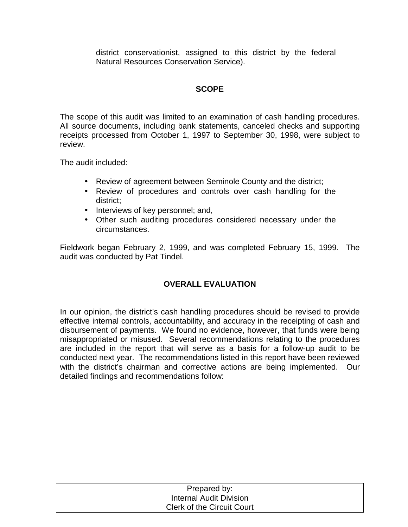district conservationist, assigned to this district by the federal Natural Resources Conservation Service).

### **SCOPE**

The scope of this audit was limited to an examination of cash handling procedures. All source documents, including bank statements, canceled checks and supporting receipts processed from October 1, 1997 to September 30, 1998, were subject to review.

The audit included:

- Review of agreement between Seminole County and the district;
- Review of procedures and controls over cash handling for the district;
- Interviews of key personnel; and,
- Other such auditing procedures considered necessary under the circumstances.

Fieldwork began February 2, 1999, and was completed February 15, 1999. The audit was conducted by Pat Tindel.

## **OVERALL EVALUATION**

In our opinion, the district's cash handling procedures should be revised to provide effective internal controls, accountability, and accuracy in the receipting of cash and disbursement of payments. We found no evidence, however, that funds were being misappropriated or misused. Several recommendations relating to the procedures are included in the report that will serve as a basis for a follow-up audit to be conducted next year. The recommendations listed in this report have been reviewed with the district's chairman and corrective actions are being implemented. Our detailed findings and recommendations follow:

| Prepared by:                      |  |
|-----------------------------------|--|
| <b>Internal Audit Division</b>    |  |
| <b>Clerk of the Circuit Court</b> |  |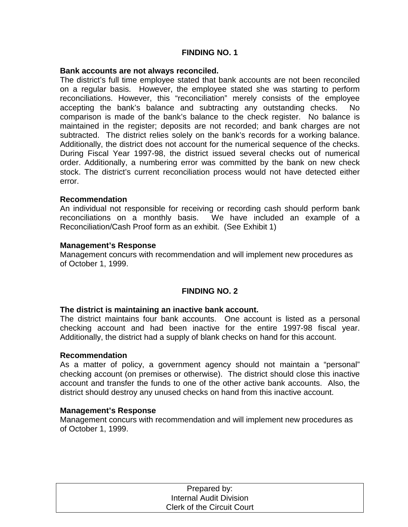### **FINDING NO. 1**

#### **Bank accounts are not always reconciled.**

The district's full time employee stated that bank accounts are not been reconciled on a regular basis. However, the employee stated she was starting to perform reconciliations. However, this "reconciliation" merely consists of the employee accepting the bank's balance and subtracting any outstanding checks. No comparison is made of the bank's balance to the check register. No balance is maintained in the register; deposits are not recorded; and bank charges are not subtracted. The district relies solely on the bank's records for a working balance. Additionally, the district does not account for the numerical sequence of the checks. During Fiscal Year 1997-98, the district issued several checks out of numerical order. Additionally, a numbering error was committed by the bank on new check stock. The district's current reconciliation process would not have detected either error.

#### **Recommendation**

An individual not responsible for receiving or recording cash should perform bank reconciliations on a monthly basis. We have included an example of a Reconciliation/Cash Proof form as an exhibit. (See Exhibit 1)

### **Management's Response**

Management concurs with recommendation and will implement new procedures as of October 1, 1999.

### **FINDING NO. 2**

### **The district is maintaining an inactive bank account.**

The district maintains four bank accounts. One account is listed as a personal checking account and had been inactive for the entire 1997-98 fiscal year. Additionally, the district had a supply of blank checks on hand for this account.

#### **Recommendation**

As a matter of policy, a government agency should not maintain a "personal" checking account (on premises or otherwise). The district should close this inactive account and transfer the funds to one of the other active bank accounts. Also, the district should destroy any unused checks on hand from this inactive account.

#### **Management's Response**

Management concurs with recommendation and will implement new procedures as of October 1, 1999.

| Prepared by:                      |  |
|-----------------------------------|--|
| <b>Internal Audit Division</b>    |  |
| <b>Clerk of the Circuit Court</b> |  |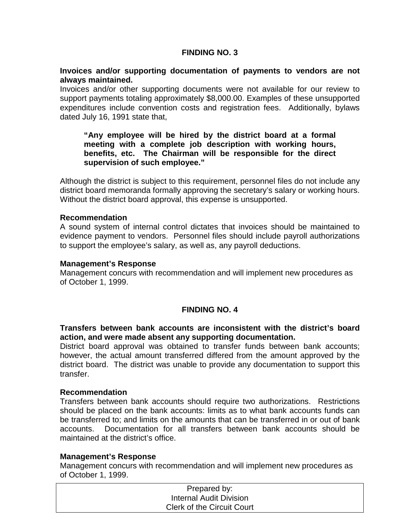### **FINDING NO. 3**

### **Invoices and/or supporting documentation of payments to vendors are not always maintained.**

Invoices and/or other supporting documents were not available for our review to support payments totaling approximately \$8,000.00. Examples of these unsupported expenditures include convention costs and registration fees. Additionally, bylaws dated July 16, 1991 state that,

### **"Any employee will be hired by the district board at a formal meeting with a complete job description with working hours, benefits, etc. The Chairman will be responsible for the direct supervision of such employee."**

Although the district is subject to this requirement, personnel files do not include any district board memoranda formally approving the secretary's salary or working hours. Without the district board approval, this expense is unsupported.

#### **Recommendation**

A sound system of internal control dictates that invoices should be maintained to evidence payment to vendors. Personnel files should include payroll authorizations to support the employee's salary, as well as, any payroll deductions.

#### **Management's Response**

Management concurs with recommendation and will implement new procedures as of October 1, 1999.

### **FINDING NO. 4**

### **Transfers between bank accounts are inconsistent with the district's board action, and were made absent any supporting documentation.**

District board approval was obtained to transfer funds between bank accounts; however, the actual amount transferred differed from the amount approved by the district board. The district was unable to provide any documentation to support this transfer.

#### **Recommendation**

Transfers between bank accounts should require two authorizations. Restrictions should be placed on the bank accounts: limits as to what bank accounts funds can be transferred to; and limits on the amounts that can be transferred in or out of bank accounts. Documentation for all transfers between bank accounts should be maintained at the district's office.

#### **Management's Response**

Management concurs with recommendation and will implement new procedures as of October 1, 1999.

| Prepared by:                      |  |
|-----------------------------------|--|
| Internal Audit Division           |  |
| <b>Clerk of the Circuit Court</b> |  |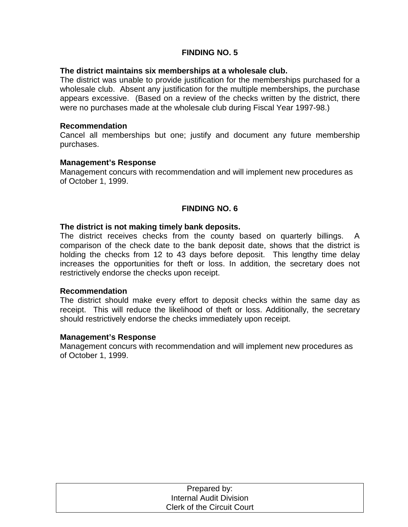### **FINDING NO. 5**

### **The district maintains six memberships at a wholesale club.**

The district was unable to provide justification for the memberships purchased for a wholesale club. Absent any justification for the multiple memberships, the purchase appears excessive. (Based on a review of the checks written by the district, there were no purchases made at the wholesale club during Fiscal Year 1997-98.)

#### **Recommendation**

Cancel all memberships but one; justify and document any future membership purchases.

### **Management's Response**

Management concurs with recommendation and will implement new procedures as of October 1, 1999.

### **FINDING NO. 6**

### **The district is not making timely bank deposits.**

The district receives checks from the county based on quarterly billings. A comparison of the check date to the bank deposit date, shows that the district is holding the checks from 12 to 43 days before deposit. This lengthy time delay increases the opportunities for theft or loss. In addition, the secretary does not restrictively endorse the checks upon receipt.

#### **Recommendation**

The district should make every effort to deposit checks within the same day as receipt. This will reduce the likelihood of theft or loss. Additionally, the secretary should restrictively endorse the checks immediately upon receipt.

#### **Management's Response**

Management concurs with recommendation and will implement new procedures as of October 1, 1999.

| Prepared by:                      |  |
|-----------------------------------|--|
| Internal Audit Division           |  |
| <b>Clerk of the Circuit Court</b> |  |